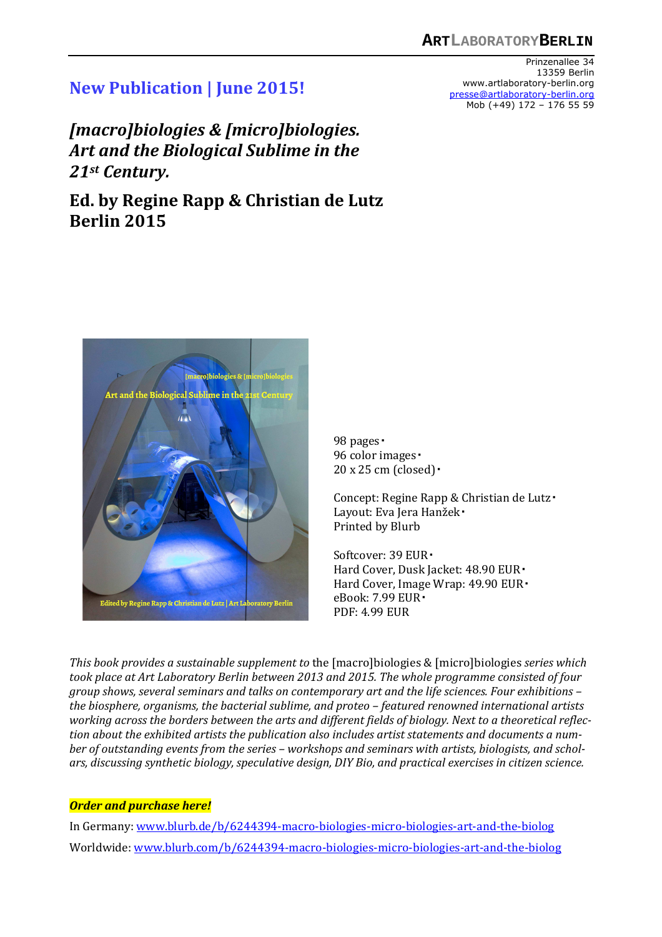## **New Publication | June 2015!**

*[macro]biologies & [micro]biologies. Art and the Biological Sublime in the 21st Century.* 

**Ed. by Regine Rapp & Christian de Lutz Berlin 2015** 





98 pages 96 color images ·  $20 \times 25$  cm (closed) $\cdot$ 

Concept: Regine Rapp & Christian de Lutz Layout: Eva Jera Hanžek Printed by Blurb

Softcover: 39 EUR Hard Cover, Dusk Jacket: 48.90 EUR Hard Cover, Image Wrap: 49.90 EUR eBook: 7.99 EUR PDF: 4.99 EUR

*This book provides a sustainable supplement to* the [macro]biologies & [micro]biologies *series which took place at Art Laboratory Berlin between 2013 and 2015. The whole programme consisted of four group shows, several seminars and talks on contemporary art and the life sciences. Four exhibitions – the biosphere, organisms, the bacterial sublime, and proteo – featured renowned international artists working across the borders between the arts and different fields of biology. Next to a theoretical reflection about the exhibited artists the publication also includes artist statements and documents a number of outstanding events from the series – workshops and seminars with artists, biologists, and scholars, discussing synthetic biology, speculative design, DIY Bio, and practical exercises in citizen science.* 

## *Order and purchase here!*

In Germany: www.blurb.de/b/6244394-macro-biologies-micro-biologies-art-and-the-biolog Worldwide: www.blurb.com/b/6244394-macro-biologies-micro-biologies-art-and-the-biolog